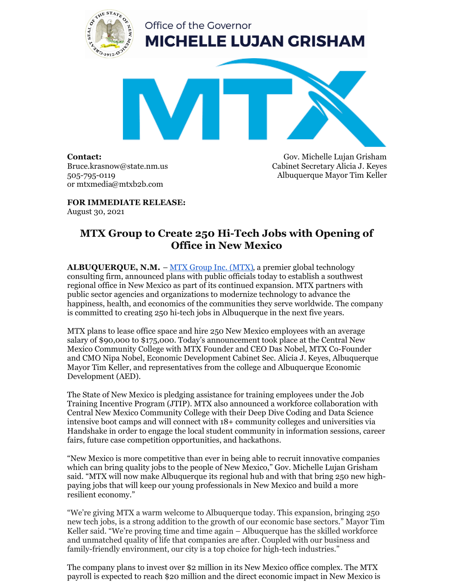

**Contact:** Bruce.krasnow@state.nm.us 505-795-0119 or mtxmedia@mtxb2b.com

Gov. Michelle Lujan Grisham Cabinet Secretary Alicia J. Keyes Albuquerque Mayor Tim Keller

**FOR IMMEDIATE RELEASE:** August 30, 2021

## **MTX Group to Create 250 Hi-Tech Jobs with Opening of Office in New Mexico**

**ALBUQUERQUE, N.M.** – MTX Group Inc. [\(MTX\)](http://mtxb2b.com/), a premier global technology consulting firm, announced plans with public officials today to establish a southwest regional office in New Mexico as part of its continued expansion. MTX partners with public sector agencies and organizations to modernize technology to advance the happiness, health, and economics of the communities they serve worldwide. The company is committed to creating 250 hi-tech jobs in Albuquerque in the next five years.

MTX plans to lease office space and hire 250 New Mexico employees with an average salary of \$90,000 to \$175,000. Today's announcement took place at the Central New Mexico Community College with MTX Founder and CEO Das Nobel, MTX Co-Founder and CMO Nipa Nobel, Economic Development Cabinet Sec. Alicia J. Keyes, Albuquerque Mayor Tim Keller, and representatives from the college and Albuquerque Economic Development (AED).

The State of New Mexico is pledging assistance for training employees under the Job Training Incentive Program (JTIP). MTX also announced a workforce collaboration with Central New Mexico Community College with their Deep Dive Coding and Data Science intensive boot camps and will connect with 18+ community colleges and universities via Handshake in order to engage the local student community in information sessions, career fairs, future case competition opportunities, and hackathons.

"New Mexico is more competitive than ever in being able to recruit innovative companies which can bring quality jobs to the people of New Mexico," Gov. Michelle Lujan Grisham said. "MTX will now make Albuquerque its regional hub and with that bring 250 new highpaying jobs that will keep our young professionals in New Mexico and build a more resilient economy."

"We're giving MTX a warm welcome to Albuquerque today. This expansion, bringing 250 new tech jobs, is a strong addition to the growth of our economic base sectors." Mayor Tim Keller said. "We're proving time and time again – Albuquerque has the skilled workforce and unmatched quality of life that companies are after. Coupled with our business and family-friendly environment, our city is a top choice for high-tech industries."

The company plans to invest over \$2 million in its New Mexico office complex. The MTX payroll is expected to reach \$20 million and the direct economic impact in New Mexico is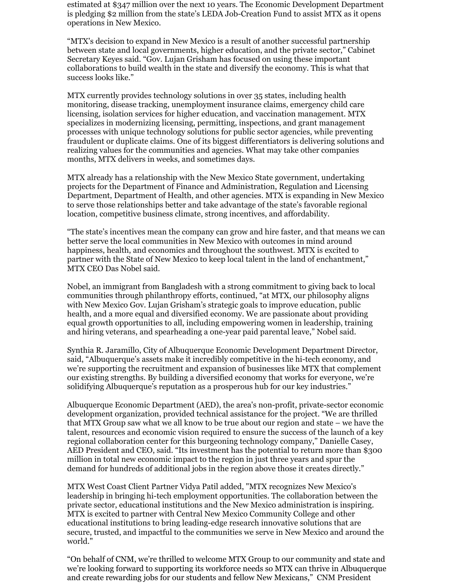estimated at \$347 million over the next 10 years. The Economic Development Department is pledging \$2 million from the state's LEDA Job-Creation Fund to assist MTX as it opens operations in New Mexico.

"MTX's decision to expand in New Mexico is a result of another successful partnership between state and local governments, higher education, and the private sector," Cabinet Secretary Keyes said. "Gov. Lujan Grisham has focused on using these important collaborations to build wealth in the state and diversify the economy. This is what that success looks like."

MTX currently provides technology solutions in over 35 states, including health monitoring, disease tracking, unemployment insurance claims, emergency child care licensing, isolation services for higher education, and vaccination management. MTX specializes in modernizing licensing, permitting, inspections, and grant management processes with unique technology solutions for public sector agencies, while preventing fraudulent or duplicate claims. One of its biggest differentiators is delivering solutions and realizing values for the communities and agencies. What may take other companies months, MTX delivers in weeks, and sometimes days.

MTX already has a relationship with the New Mexico State government, undertaking projects for the Department of Finance and Administration, Regulation and Licensing Department, Department of Health, and other agencies. MTX is expanding in New Mexico to serve those relationships better and take advantage of the state's favorable regional location, competitive business climate, strong incentives, and affordability.

"The state's incentives mean the company can grow and hire faster, and that means we can better serve the local communities in New Mexico with outcomes in mind around happiness, health, and economics and throughout the southwest. MTX is excited to partner with the State of New Mexico to keep local talent in the land of enchantment," MTX CEO Das Nobel said.

Nobel, an immigrant from Bangladesh with a strong commitment to giving back to local communities through philanthropy efforts, continued, "at MTX, our philosophy aligns with New Mexico Gov. Lujan Grisham's strategic goals to improve education, public health, and a more equal and diversified economy. We are passionate about providing equal growth opportunities to all, including empowering women in leadership, training and hiring veterans, and spearheading a one-year paid parental leave," Nobel said.

Synthia R. Jaramillo, City of Albuquerque Economic Development Department Director, said, "Albuquerque's assets make it incredibly competitive in the hi-tech economy, and we're supporting the recruitment and expansion of businesses like MTX that complement our existing strengths. By building a diversified economy that works for everyone, we're solidifying Albuquerque's reputation as a prosperous hub for our key industries."

Albuquerque Economic Department (AED), the area's non-profit, private-sector economic development organization, provided technical assistance for the project. "We are thrilled that MTX Group saw what we all know to be true about our region and state – we have the talent, resources and economic vision required to ensure the success of the launch of a key regional collaboration center for this burgeoning technology company," Danielle Casey, AED President and CEO, said. "Its investment has the potential to return more than \$300 million in total new economic impact to the region in just three years and spur the demand for hundreds of additional jobs in the region above those it creates directly."

MTX West Coast Client Partner Vidya Patil added, "MTX recognizes New Mexico's leadership in bringing hi-tech employment opportunities. The collaboration between the private sector, educational institutions and the New Mexico administration is inspiring. MTX is excited to partner with Central New Mexico Community College and other educational institutions to bring leading-edge research innovative solutions that are secure, trusted, and impactful to the communities we serve in New Mexico and around the world."

"On behalf of CNM, we're thrilled to welcome MTX Group to our community and state and we're looking forward to supporting its workforce needs so MTX can thrive in Albuquerque and create rewarding jobs for our students and fellow New Mexicans," CNM President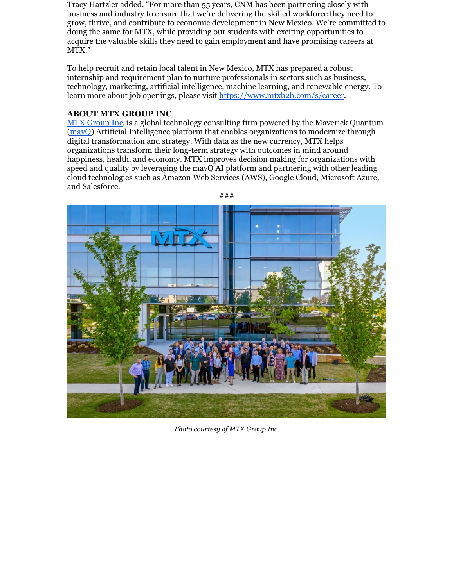Tracy Hartzler added. "For more than 55 years, CNM has been partnering closely with business and industry to ensure that we're delivering the skilled workforce they need to grow, thrive, and contribute to economic development in New Mexico. We're committed to doing the same for MTX, while providing our students with exciting opportunities to acquire the valuable skills they need to gain employment and have promising careers at MTX."

To help recruit and retain local talent in New Mexico, MTX has prepared a robust internship and requirement plan to nurture professionals in sectors such as business, technology, marketing, artificial intelligence, machine learning, and renewable energy. To learn more about job openings, please visit <https://www.mtxb2b.com/s/career>.

## **ABOUT MTX GROUP INC**

MTX [Group](https://mtxb2b.com/) Inc. is a global technology consulting firm powered by the Maverick Quantum [\(mavQ](https://mavq.com/)) Artificial Intelligence platform that enables organizations to modernize through digital transformation and strategy. With data as the new currency, MTX helps organizations transform their long-term strategy with outcomes in mind around happiness, health, and economy. MTX improves decision making for organizations with speed and quality by leveraging the mavQ AI platform and partnering with other leading cloud technologies such as Amazon Web Services (AWS), Google Cloud, Microsoft Azure, and Salesforce.



*Photo courtesy of MTX Group Inc.*